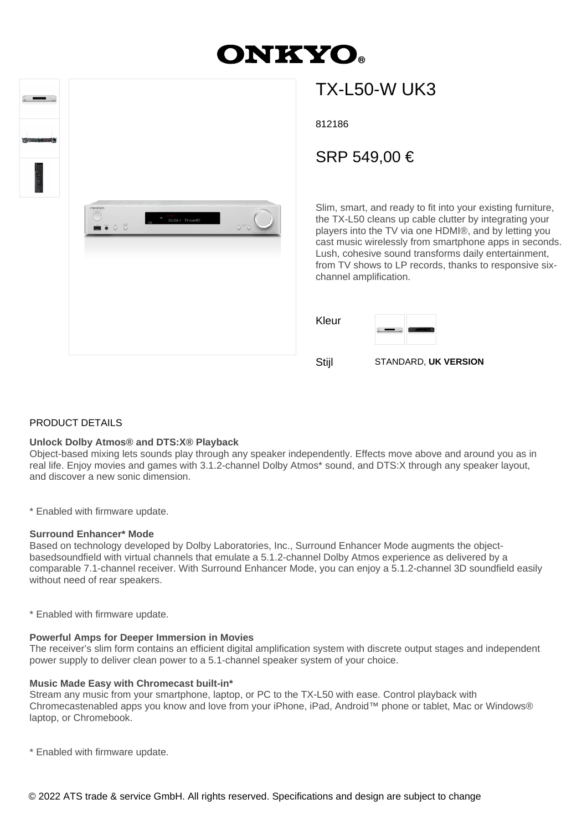# **DNKYO**

| <b>The control of the American State</b> |                                                                            |                              |
|------------------------------------------|----------------------------------------------------------------------------|------------------------------|
|                                          | ONEYO<br>Dolby TrueHD<br>$\bullet$ $\overline{\bullet}$ $\overline{\circ}$ | $\dot{\circ}$ $\ddot{\circ}$ |
|                                          |                                                                            |                              |

## TX-L50-W UK3

812186

### SRP 549,00 €

Slim, smart, and ready to fit into your existing furniture, the TX-L50 cleans up cable clutter by integrating your players into the TV via one HDMI®, and by letting you cast music wirelessly from smartphone apps in seconds. Lush, cohesive sound transforms daily entertainment, from TV shows to LP records, thanks to responsive sixchannel amplification.



Stijl STANDARD, **UK VERSION**

#### PRODUCT DETAILS

#### **Unlock Dolby Atmos® and DTS:X® Playback**

Object-based mixing lets sounds play through any speaker independently. Effects move above and around you as in real life. Enjoy movies and games with 3.1.2-channel Dolby Atmos\* sound, and DTS:X through any speaker layout, and discover a new sonic dimension.

\* Enabled with firmware update.

#### **Surround Enhancer\* Mode**

Based on technology developed by Dolby Laboratories, Inc., Surround Enhancer Mode augments the objectbasedsoundfield with virtual channels that emulate a 5.1.2-channel Dolby Atmos experience as delivered by a comparable 7.1-channel receiver. With Surround Enhancer Mode, you can enjoy a 5.1.2-channel 3D soundfield easily without need of rear speakers.

\* Enabled with firmware update.

#### **Powerful Amps for Deeper Immersion in Movies**

The receiver's slim form contains an efficient digital amplification system with discrete output stages and independent power supply to deliver clean power to a 5.1-channel speaker system of your choice.

#### **Music Made Easy with Chromecast built-in\***

Stream any music from your smartphone, laptop, or PC to the TX-L50 with ease. Control playback with Chromecastenabled apps you know and love from your iPhone, iPad, Android™ phone or tablet, Mac or Windows® laptop, or Chromebook.

\* Enabled with firmware update.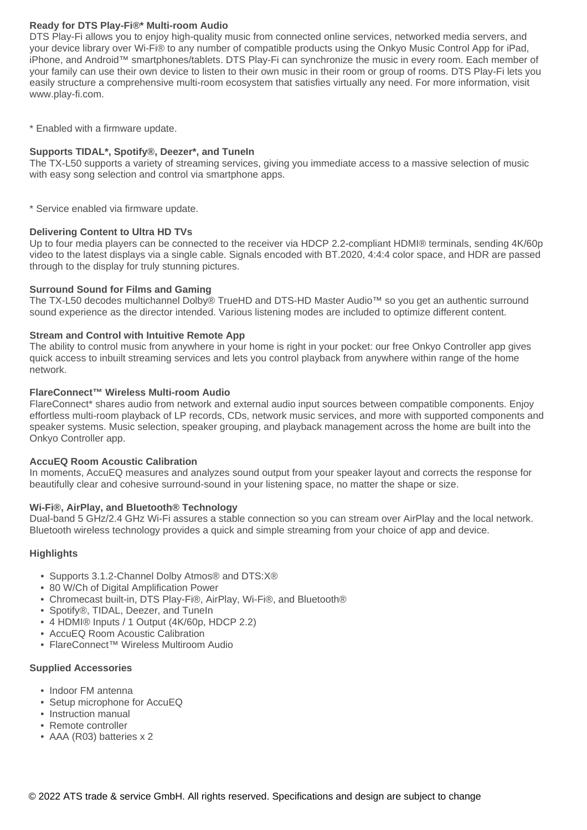#### **Ready for DTS Play-Fi®\* Multi-room Audio**

DTS Play-Fi allows you to enjoy high-quality music from connected online services, networked media servers, and your device library over Wi-Fi® to any number of compatible products using the Onkyo Music Control App for iPad, iPhone, and Android™ smartphones/tablets. DTS Play-Fi can synchronize the music in every room. Each member of your family can use their own device to listen to their own music in their room or group of rooms. DTS Play-Fi lets you easily structure a comprehensive multi-room ecosystem that satisfies virtually any need. For more information, visit www.play-fi.com.

\* Enabled with a firmware update.

#### **Supports TIDAL\*, Spotify®, Deezer\*, and TuneIn**

The TX-L50 supports a variety of streaming services, giving you immediate access to a massive selection of music with easy song selection and control via smartphone apps.

\* Service enabled via firmware update.

#### **Delivering Content to Ultra HD TVs**

Up to four media players can be connected to the receiver via HDCP 2.2-compliant HDMI® terminals, sending 4K/60p video to the latest displays via a single cable. Signals encoded with BT.2020, 4:4:4 color space, and HDR are passed through to the display for truly stunning pictures.

#### **Surround Sound for Films and Gaming**

The TX-L50 decodes multichannel Dolby® TrueHD and DTS-HD Master Audio™ so you get an authentic surround sound experience as the director intended. Various listening modes are included to optimize different content.

#### **Stream and Control with Intuitive Remote App**

The ability to control music from anywhere in your home is right in your pocket: our free Onkyo Controller app gives quick access to inbuilt streaming services and lets you control playback from anywhere within range of the home network.

#### **FlareConnect™ Wireless Multi-room Audio**

FlareConnect\* shares audio from network and external audio input sources between compatible components. Enjoy effortless multi-room playback of LP records, CDs, network music services, and more with supported components and speaker systems. Music selection, speaker grouping, and playback management across the home are built into the Onkyo Controller app.

#### **AccuEQ Room Acoustic Calibration**

In moments, AccuEQ measures and analyzes sound output from your speaker layout and corrects the response for beautifully clear and cohesive surround-sound in your listening space, no matter the shape or size.

#### **Wi-Fi®, AirPlay, and Bluetooth® Technology**

Dual-band 5 GHz/2.4 GHz Wi-Fi assures a stable connection so you can stream over AirPlay and the local network. Bluetooth wireless technology provides a quick and simple streaming from your choice of app and device.

#### **Highlights**

- Supports 3.1.2-Channel Dolby Atmos® and DTS:X®
- 80 W/Ch of Digital Amplification Power
- Chromecast built-in, DTS Play-Fi®, AirPlay, Wi-Fi®, and Bluetooth®
- Spotify®, TIDAL, Deezer, and TuneIn
- 4 HDMI® Inputs / 1 Output (4K/60p, HDCP 2.2)
- AccuEQ Room Acoustic Calibration
- FlareConnect™ Wireless Multiroom Audio

#### **Supplied Accessories**

- Indoor FM antenna
- Setup microphone for AccuEQ
- Instruction manual
- Remote controller
- AAA (R03) batteries x 2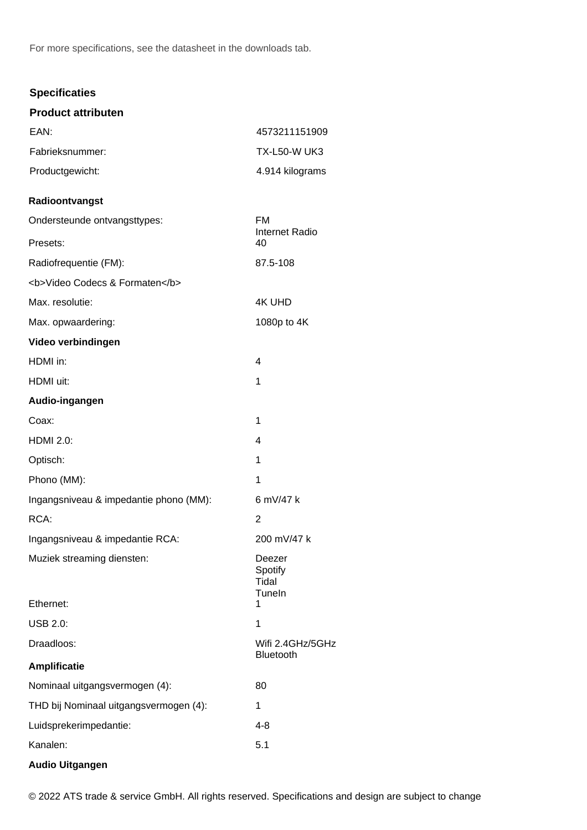For more specifications, see the datasheet in the downloads tab.

#### **Specificaties**

| <b>Product attributen</b>                |                                           |
|------------------------------------------|-------------------------------------------|
| EAN:                                     | 4573211151909                             |
| Fabrieksnummer:                          | <b>TX-L50-W UK3</b>                       |
| Productgewicht:                          | 4.914 kilograms                           |
| Radioontvangst                           |                                           |
| Ondersteunde ontvangsttypes:<br>Presets: | FM<br><b>Internet Radio</b><br>40         |
| Radiofrequentie (FM):                    | 87.5-108                                  |
| <b>Video Codecs &amp; Formaten</b>       |                                           |
| Max. resolutie:                          | <b>4K UHD</b>                             |
| Max. opwaardering:                       | 1080p to 4K                               |
| Video verbindingen                       |                                           |
| HDMI in:                                 | 4                                         |
| HDMI uit:                                | 1                                         |
| Audio-ingangen                           |                                           |
| Coax:                                    | 1                                         |
| <b>HDMI 2.0:</b>                         | 4                                         |
| Optisch:                                 | 1                                         |
| Phono (MM):                              | 1                                         |
| Ingangsniveau & impedantie phono (MM):   | 6 mV/47 k                                 |
| RCA:                                     | 2                                         |
| Ingangsniveau & impedantie RCA:          | 200 mV/47 k                               |
| Muziek streaming diensten:<br>Ethernet:  | Deezer<br>Spotify<br>Tidal<br>TuneIn<br>1 |
| <b>USB 2.0:</b>                          | 1                                         |
| Draadloos:                               | Wifi 2.4GHz/5GHz                          |
|                                          | Bluetooth                                 |
| <b>Amplificatie</b>                      |                                           |
| Nominaal uitgangsvermogen (4):           | 80                                        |
| THD bij Nominaal uitgangsvermogen (4):   | 1                                         |
| Luidsprekerimpedantie:<br>Kanalen:       | $4 - 8$<br>5.1                            |
|                                          |                                           |
| <b>Audio Uitgangen</b>                   |                                           |

© 2022 ATS trade & service GmbH. All rights reserved. Specifications and design are subject to change